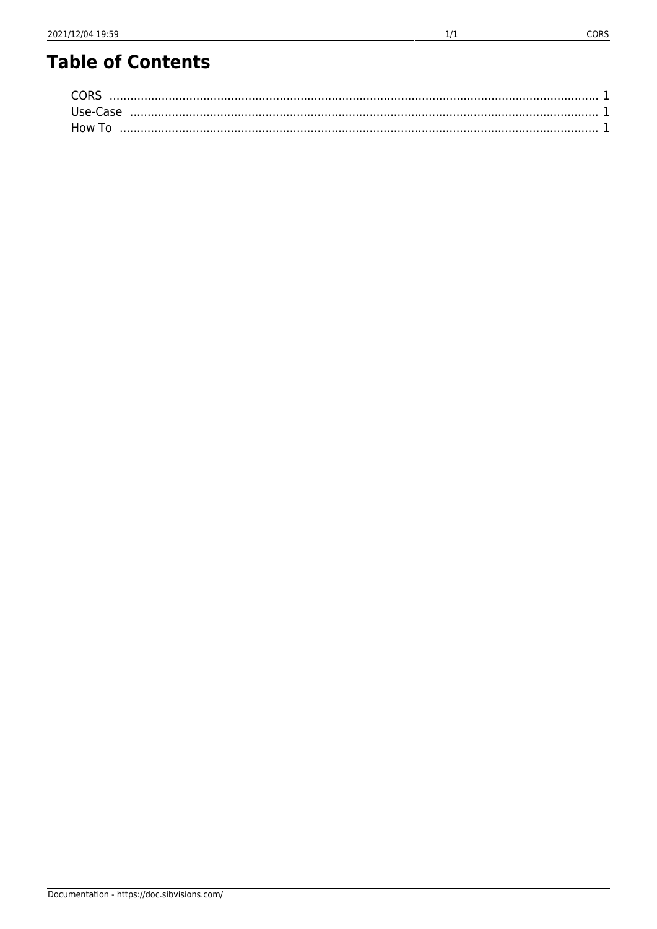| Use-Case         |  |
|------------------|--|
| How <sup>-</sup> |  |

CORS

 $1/1$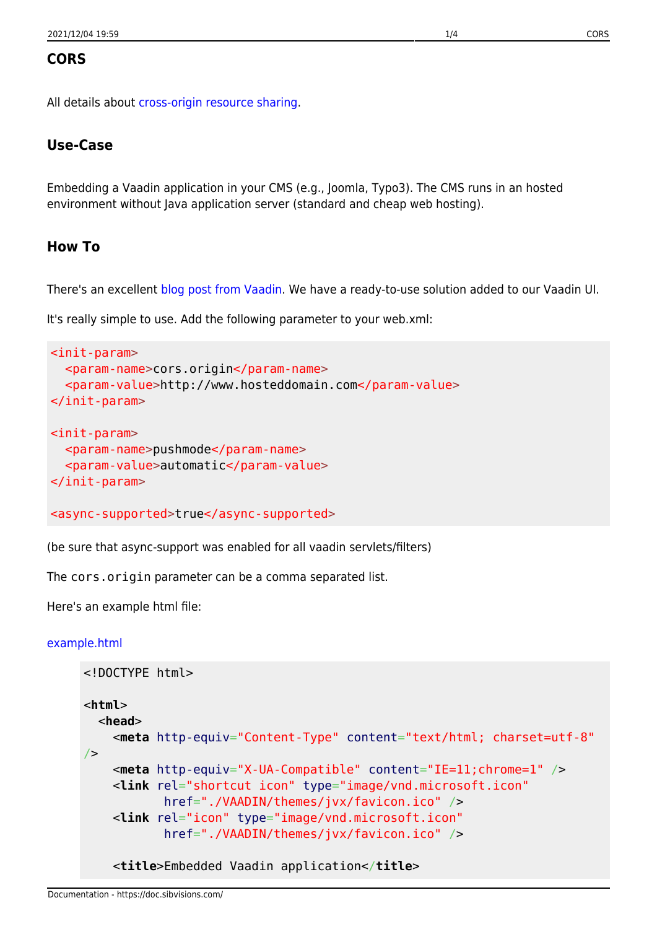### <span id="page-1-0"></span>**CORS**

All details about [cross-origin resource sharing.](http://en.wikipedia.org/wiki/Cross-origin_resource_sharing)

## <span id="page-1-1"></span>**Use-Case**

Embedding a Vaadin application in your CMS (e.g., Joomla, Typo3). The CMS runs in an hosted environment without Java application server (standard and cheap web hosting).

#### <span id="page-1-2"></span>**How To**

There's an excellent [blog post from Vaadin.](https://vaadin.com/blog/-/blogs/using-cors-with-vaadin) We have a ready-to-use solution added to our Vaadin UI.

It's really simple to use. Add the following parameter to your web.xml:

```
<init-param>
   <param-name>cors.origin</param-name>
   <param-value>http://www.hosteddomain.com</param-value>
</init-param>
<init-param>
   <param-name>pushmode</param-name>
   <param-value>automatic</param-value>
\le/init-param>
<async-supported>true</async-supported>
```
(be sure that async-support was enabled for all vaadin servlets/filters)

The cors.origin parameter can be a comma separated list.

Here's an example html file:

#### [example.html](https://doc.sibvisions.com/_export/code/vaadin/cors?codeblock=1)

```
<!DOCTYPE html>
<html>
   <head>
     <meta http-equiv="Content-Type" content="text/html; charset=utf-8"
/ <meta http-equiv="X-UA-Compatible" content="IE=11;chrome=1" />
     <link rel="shortcut icon" type="image/vnd.microsoft.icon"
            href="./VAADIN/themes/jvx/favicon.ico" />
     <link rel="icon" type="image/vnd.microsoft.icon"
            href="./VAADIN/themes/jvx/favicon.ico" />
     <title>Embedded Vaadin application</title>
```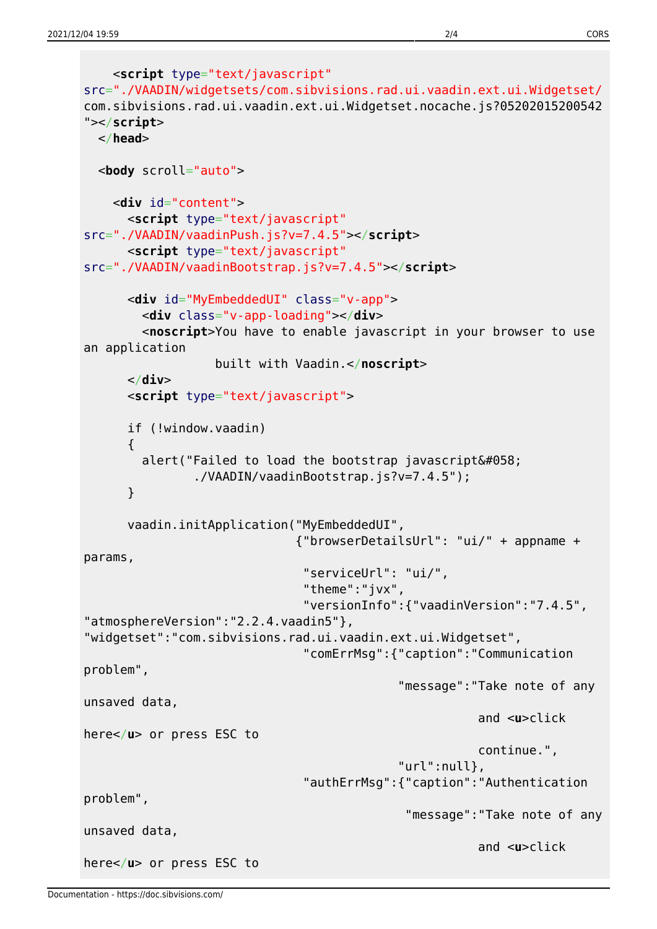```
 <script type="text/javascript"
src="./VAADIN/widgetsets/com.sibvisions.rad.ui.vaadin.ext.ui.Widgetset/
com.sibvisions.rad.ui.vaadin.ext.ui.Widgetset.nocache.js?05202015200542
"></script>
   </head>
   <body scroll="auto">
     <div id="content">
       <script type="text/javascript"
src="./VAADIN/vaadinPush.js?v=7.4.5"></script>
       <script type="text/javascript"
src="./VAADIN/vaadinBootstrap.js?v=7.4.5"></script>
       <div id="MyEmbeddedUI" class="v-app">
         <div class="v-app-loading"></div>
         <noscript>You have to enable javascript in your browser to use
an application
                   built with Vaadin.</noscript>
       </div>
       <script type="text/javascript">
       if (!window.vaadin)
       {
        alert("Failed to load the bootstrap javascript\&\#058;
                 ./VAADIN/vaadinBootstrap.js?v=7.4.5");
       }
       vaadin.initApplication("MyEmbeddedUI",
                               {"browserDetailsUrl": "ui/" + appname +
params,
                                "serviceUrl": "ui/",
                                "theme":"jvx",
                                "versionInfo":{"vaadinVersion":"7.4.5",
"atmosphereVersion":"2.2.4.vaadin5"},
"widgetset":"com.sibvisions.rad.ui.vaadin.ext.ui.Widgetset",
                                "comErrMsg":{"caption":"Communication
problem",
                                              "message":"Take note of any
unsaved data,
                                                         and <u>click
here</u> or press ESC to
                                                         continue.",
                                              "url":null},
                                "authErrMsg":{"caption":"Authentication
problem",
                                               "message":"Take note of any
unsaved data,
                                                         and <u>click
here</u> or press ESC to
```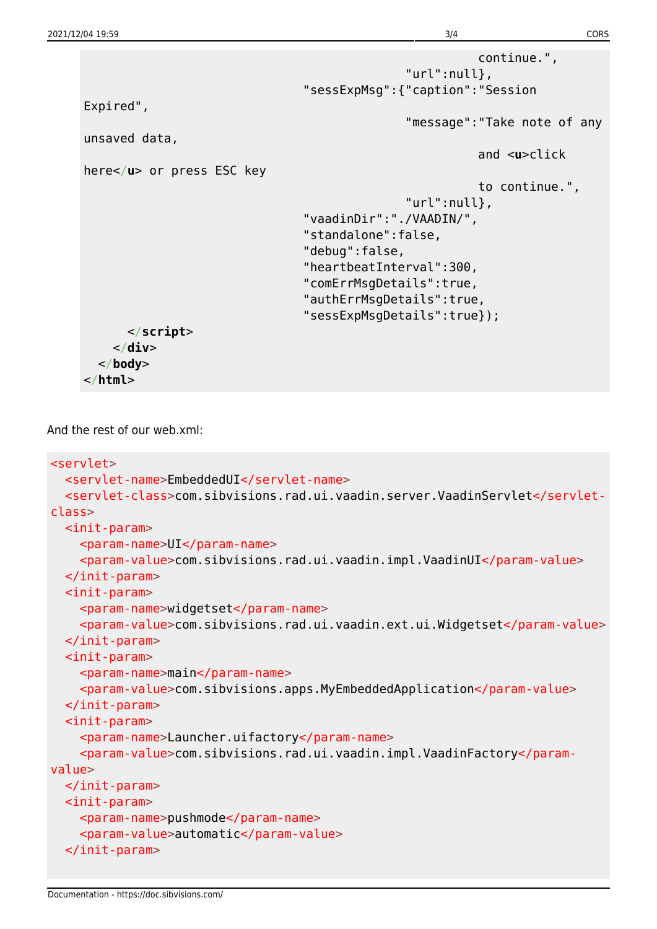```
 continue.",
                                                 "url":null},
                                  "sessExpMsg":{"caption":"Session
Expired",
                                                 "message":"Take note of any
unsaved data,
                                                            and <u>click
here</u> or press ESC key
                                                            to continue.",
                                                 "url":null},
                                  "vaadinDir":"./VAADIN/",
                                  "standalone":false,
                                  "debug":false,
                                  "heartbeatInterval":300,
                                  "comErrMsgDetails":true,
                                  "authErrMsgDetails":true,
                                  "sessExpMsgDetails":true});
       </script>
     </div>
   </body>
</html>
```
And the rest of our web.xml:

```
<servlet>
   <servlet-name>EmbeddedUI</servlet-name>
   <servlet-class>com.sibvisions.rad.ui.vaadin.server.VaadinServlet</servlet-
class>
  <init-param>
     <param-name>UI</param-name>
     <param-value>com.sibvisions.rad.ui.vaadin.impl.VaadinUI</param-value>
   </init-param>
   <init-param>
     <param-name>widgetset</param-name>
     <param-value>com.sibvisions.rad.ui.vaadin.ext.ui.Widgetset</param-value>
   </init-param>
  <init-param>
     <param-name>main</param-name>
     <param-value>com.sibvisions.apps.MyEmbeddedApplication</param-value>
   </init-param>
   <init-param>
     <param-name>Launcher.uifactory</param-name>
     <param-value>com.sibvisions.rad.ui.vaadin.impl.VaadinFactory</param-
value>
   </init-param>
   <init-param>
     <param-name>pushmode</param-name>
     <param-value>automatic</param-value>
   </init-param>
```